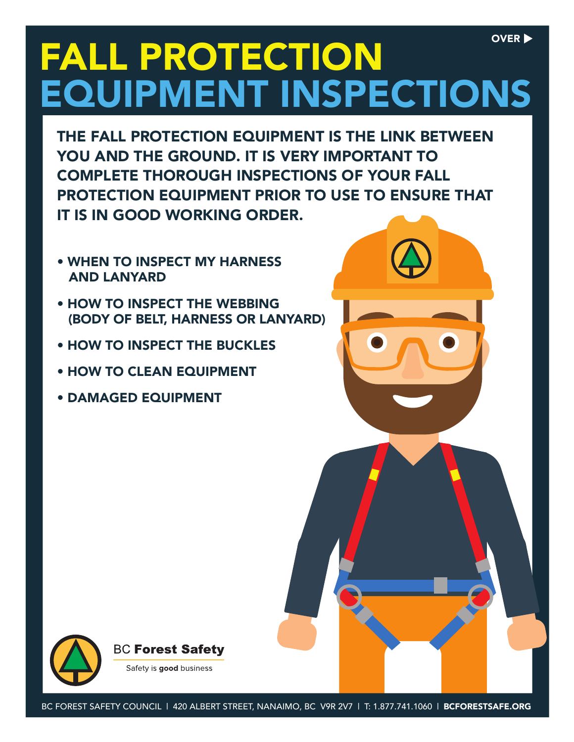## FALL PROTECTION EQUIPMENT INSPECTIONS OVER  $\blacktriangleright$

THE FALL PROTECTION EQUIPMENT IS THE LINK BETWEEN YOU AND THE GROUND. IT IS VERY IMPORTANT TO COMPLETE THOROUGH INSPECTIONS OF YOUR FALL PROTECTION EQUIPMENT PRIOR TO USE TO ENSURE THAT IT IS IN GOOD WORKING ORDER.

- WHEN TO INSPECT MY HARNESS AND LANYARD
- HOW TO INSPECT THE WEBBING (BODY OF BELT, HARNESS OR LANYARD)
- HOW TO INSPECT THE BUCKLES
- HOW TO CLEAN EQUIPMENT
- DAMAGED EQUIPMENT



**BC Forest Safety** Safety is good business

BC FOREST SAFETY COUNCIL | 420 ALBERT STREET, NANAIMO, BC V9R 2V7 | T: 1.877.741.1060 | BCFORESTSAFE.ORG